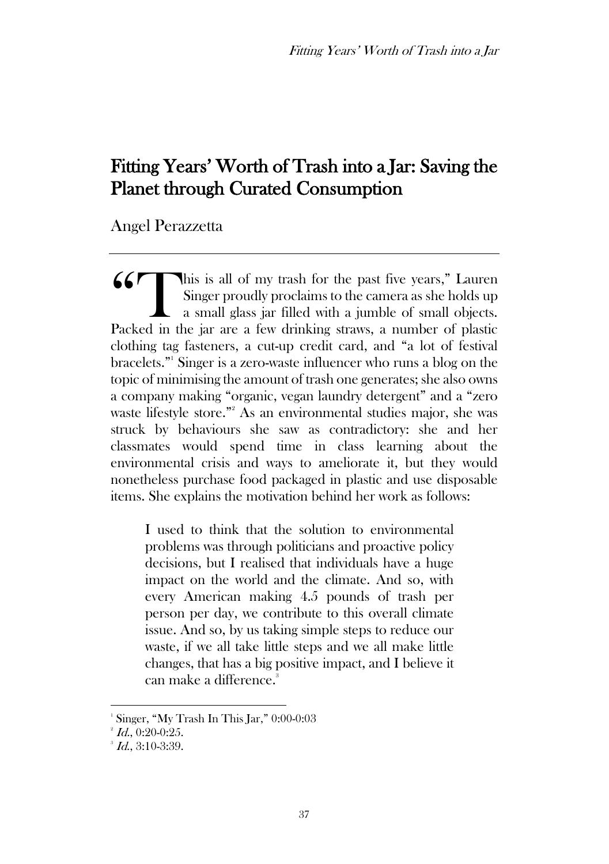# Fitting Years' Worth of Trash into a Jar: Saving the Planet through Curated Consumption

Angel Perazzetta

his is all of my trash for the past five years," Lauren Singer proudly proclaims to the camera as she holds up a small glass jar filled with a jumble of small objects. Packed in the jar are a few drinking straws, a number of plastic clothing tag fasteners, a cut-up credit card, and "a lot of festival bracelets."<sup>1</sup> Singer is a zero-waste influencer who runs a blog on the topic of minimising the amount of trash one generates; she also owns a company making "organic, vegan laundry detergent" and a "zero waste lifestyle store."<sup>2</sup> As an environmental studies major, she was struck by behaviours she saw as contradictory: she and her classmates would spend time in class learning about the environmental crisis and ways to ameliorate it, but they would nonetheless purchase food packaged in plastic and use disposable items. She explains the motivation behind her work as follows: 66<sup>T</sup>

I used to think that the solution to environmental problems was through politicians and proactive policy decisions, but I realised that individuals have a huge impact on the world and the climate. And so, with every American making 4.5 pounds of trash per person per day, we contribute to this overall climate issue. And so, by us taking simple steps to reduce our waste, if we all take little steps and we all make little changes, that has a big positive impact, and I believe it can make a difference.<sup>3</sup>

<sup>1</sup> Singer, "My Trash In This Jar," 0:00-0:03

 $^2$  *Id.*, 0:20-0:25.

 $^3$  *Id.*, 3:10-3:39.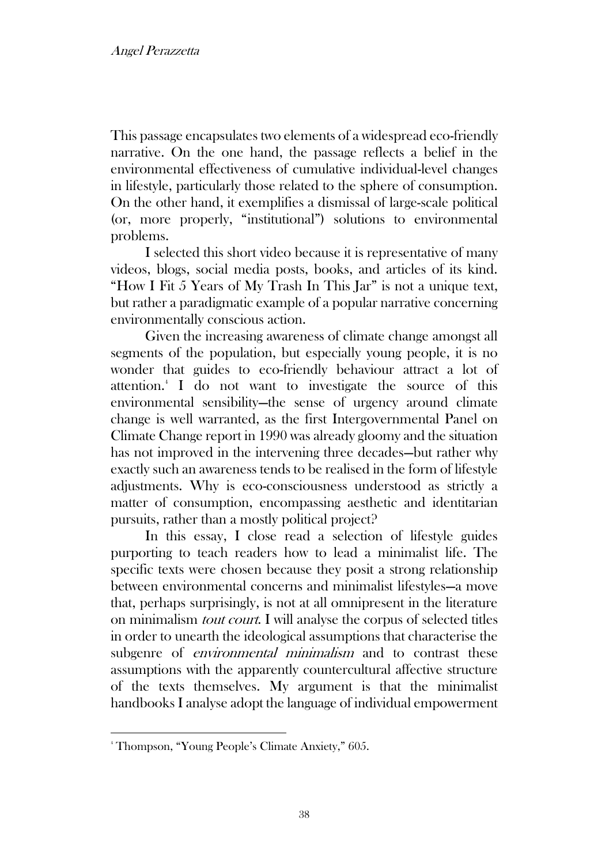This passage encapsulates two elements of a widespread eco-friendly narrative. On the one hand, the passage reflects a belief in the environmental effectiveness of cumulative individual-level changes in lifestyle, particularly those related to the sphere of consumption. On the other hand, it exemplifies a dismissal of large-scale political (or, more properly, "institutional") solutions to environmental problems.

I selected this short video because it is representative of many videos, blogs, social media posts, books, and articles of its kind. "How I Fit 5 Years of My Trash In This Jar" is not a unique text, but rather a paradigmatic example of a popular narrative concerning environmentally conscious action.

Given the increasing awareness of climate change amongst all segments of the population, but especially young people, it is no wonder that guides to eco-friendly behaviour attract a lot of attention.<sup>4</sup> I do not want to investigate the source of this environmental sensibility—the sense of urgency around climate change is well warranted, as the first Intergovernmental Panel on Climate Change report in 1990 was already gloomy and the situation has not improved in the intervening three decades—but rather why exactly such an awareness tends to be realised in the form of lifestyle adjustments. Why is eco-consciousness understood as strictly a matter of consumption, encompassing aesthetic and identitarian pursuits, rather than a mostly political project?

In this essay, I close read a selection of lifestyle guides purporting to teach readers how to lead a minimalist life. The specific texts were chosen because they posit a strong relationship between environmental concerns and minimalist lifestyles—a move that, perhaps surprisingly, is not at all omnipresent in the literature on minimalism tout court. I will analyse the corpus of selected titles in order to unearth the ideological assumptions that characterise the subgenre of *environmental minimalism* and to contrast these assumptions with the apparently countercultural affective structure of the texts themselves. My argument is that the minimalist handbooks I analyse adopt the language of individual empowerment

<sup>4</sup> Thompson, "Young People's Climate Anxiety," 605.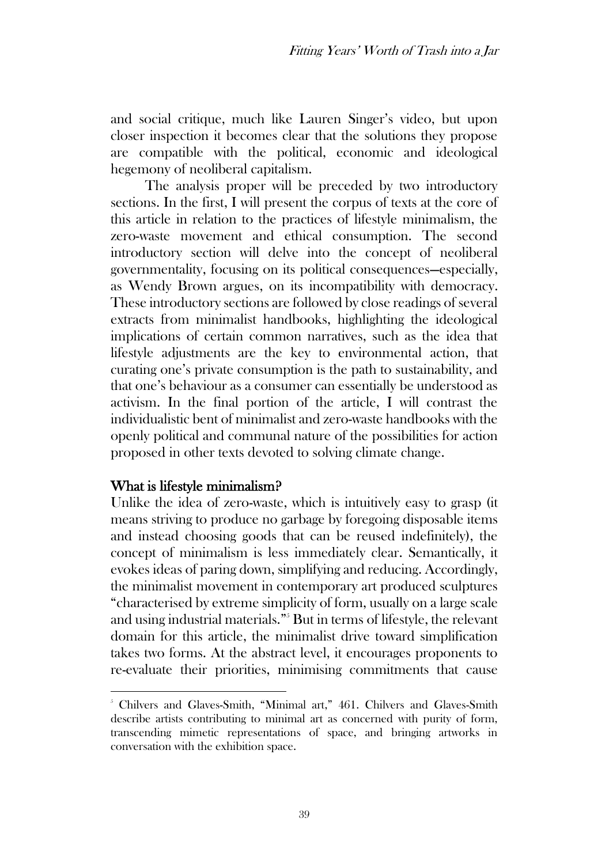and social critique, much like Lauren Singer's video, but upon closer inspection it becomes clear that the solutions they propose are compatible with the political, economic and ideological hegemony of neoliberal capitalism.

The analysis proper will be preceded by two introductory sections. In the first, I will present the corpus of texts at the core of this article in relation to the practices of lifestyle minimalism, the zero-waste movement and ethical consumption. The second introductory section will delve into the concept of neoliberal governmentality, focusing on its political consequences—especially, as Wendy Brown argues, on its incompatibility with democracy. These introductory sections are followed by close readings of several extracts from minimalist handbooks, highlighting the ideological implications of certain common narratives, such as the idea that lifestyle adjustments are the key to environmental action, that curating one's private consumption is the path to sustainability, and that one's behaviour as a consumer can essentially be understood as activism. In the final portion of the article, I will contrast the individualistic bent of minimalist and zero-waste handbooks with the openly political and communal nature of the possibilities for action proposed in other texts devoted to solving climate change.

## What is lifestyle minimalism?

Unlike the idea of zero-waste, which is intuitively easy to grasp (it means striving to produce no garbage by foregoing disposable items and instead choosing goods that can be reused indefinitely), the concept of minimalism is less immediately clear. Semantically, it evokes ideas of paring down, simplifying and reducing. Accordingly, the minimalist movement in contemporary art produced sculptures "characterised by extreme simplicity of form, usually on a large scale and using industrial materials."<sup>5</sup> But in terms of lifestyle, the relevant domain for this article, the minimalist drive toward simplification takes two forms. At the abstract level, it encourages proponents to re-evaluate their priorities, minimising commitments that cause

<sup>&</sup>lt;sup>5</sup> Chilvers and Glaves-Smith, "Minimal art," 461. Chilvers and Glaves-Smith describe artists contributing to minimal art as concerned with purity of form, transcending mimetic representations of space, and bringing artworks in conversation with the exhibition space.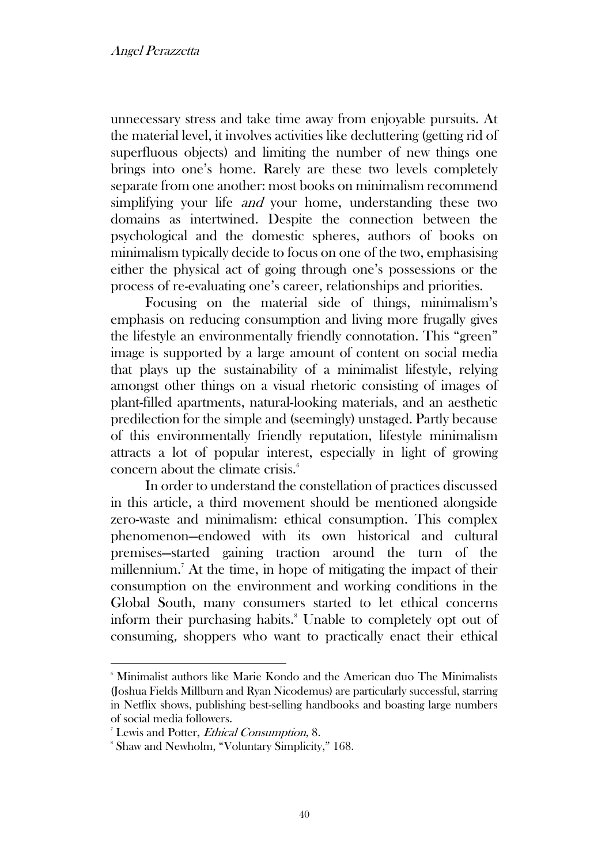unnecessary stress and take time away from enjoyable pursuits. At the material level, it involves activities like decluttering (getting rid of superfluous objects) and limiting the number of new things one brings into one's home. Rarely are these two levels completely separate from one another: most books on minimalism recommend simplifying your life *and* your home, understanding these two domains as intertwined. Despite the connection between the psychological and the domestic spheres, authors of books on minimalism typically decide to focus on one of the two, emphasising either the physical act of going through one's possessions or the process of re-evaluating one's career, relationships and priorities.

Focusing on the material side of things, minimalism's emphasis on reducing consumption and living more frugally gives the lifestyle an environmentally friendly connotation. This "green" image is supported by a large amount of content on social media that plays up the sustainability of a minimalist lifestyle, relying amongst other things on a visual rhetoric consisting of images of plant-filled apartments, natural-looking materials, and an aesthetic predilection for the simple and (seemingly) unstaged. Partly because of this environmentally friendly reputation, lifestyle minimalism attracts a lot of popular interest, especially in light of growing concern about the climate crisis.<sup>6</sup>

In order to understand the constellation of practices discussed in this article, a third movement should be mentioned alongside zero-waste and minimalism: ethical consumption. This complex phenomenon—endowed with its own historical and cultural premises—started gaining traction around the turn of the millennium.<sup>7</sup> At the time, in hope of mitigating the impact of their consumption on the environment and working conditions in the Global South, many consumers started to let ethical concerns inform their purchasing habits.<sup>8</sup> Unable to completely opt out of consuming, shoppers who want to practically enact their ethical

<sup>6</sup> Minimalist authors like Marie Kondo and the American duo The Minimalists (Joshua Fields Millburn and Ryan Nicodemus) are particularly successful, starring in Netflix shows, publishing best-selling handbooks and boasting large numbers of social media followers.

Lewis and Potter, Ethical Consumption, 8.

<sup>8</sup> Shaw and Newholm, "Voluntary Simplicity," 168.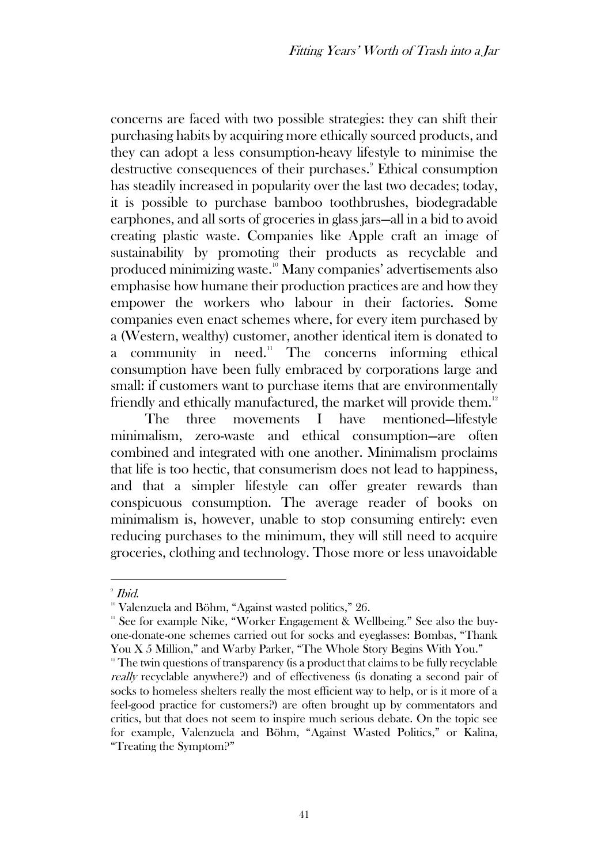concerns are faced with two possible strategies: they can shift their purchasing habits by acquiring more ethically sourced products, and they can adopt a less consumption-heavy lifestyle to minimise the destructive consequences of their purchases.<sup>9</sup> Ethical consumption has steadily increased in popularity over the last two decades; today, it is possible to purchase bamboo toothbrushes, biodegradable earphones, and all sorts of groceries in glass jars—all in a bid to avoid creating plastic waste. Companies like Apple craft an image of sustainability by promoting their products as recyclable and produced minimizing waste.<sup>10</sup> Many companies' advertisements also emphasise how humane their production practices are and how they empower the workers who labour in their factories. Some companies even enact schemes where, for every item purchased by a (Western, wealthy) customer, another identical item is donated to a community in need.<sup>11</sup> The concerns informing ethical consumption have been fully embraced by corporations large and small: if customers want to purchase items that are environmentally friendly and ethically manufactured, the market will provide them.<sup>12</sup>

The three movements I have mentioned—lifestyle minimalism, zero-waste and ethical consumption—are often combined and integrated with one another. Minimalism proclaims that life is too hectic, that consumerism does not lead to happiness, and that a simpler lifestyle can offer greater rewards than conspicuous consumption. The average reader of books on minimalism is, however, unable to stop consuming entirely: even reducing purchases to the minimum, they will still need to acquire groceries, clothing and technology. Those more or less unavoidable

 $^\circ$  Ibid.

<sup>&</sup>lt;sup>10</sup> Valenzuela and Böhm, "Against wasted politics," 26.

 $11$ <sup>11</sup> See for example Nike, "Worker Engagement & Wellbeing." See also the buyone-donate-one schemes carried out for socks and eyeglasses: Bombas, "Thank You X 5 Million," and Warby Parker, "The Whole Story Begins With You."

 $12$ <sup>12</sup> The twin questions of transparency (is a product that claims to be fully recyclable really recyclable anywhere?) and of effectiveness (is donating a second pair of socks to homeless shelters really the most efficient way to help, or is it more of a feel-good practice for customers?) are often brought up by commentators and critics, but that does not seem to inspire much serious debate. On the topic see for example, Valenzuela and Böhm, "Against Wasted Politics," or Kalina, "Treating the Symptom?"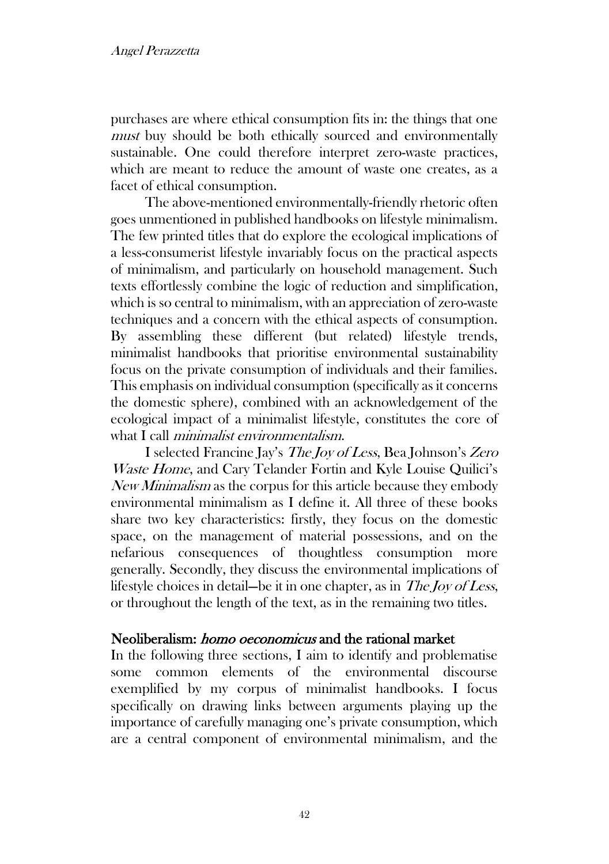purchases are where ethical consumption fits in: the things that one must buy should be both ethically sourced and environmentally sustainable. One could therefore interpret zero-waste practices, which are meant to reduce the amount of waste one creates, as a facet of ethical consumption.

The above-mentioned environmentally-friendly rhetoric often goes unmentioned in published handbooks on lifestyle minimalism. The few printed titles that do explore the ecological implications of a less-consumerist lifestyle invariably focus on the practical aspects of minimalism, and particularly on household management. Such texts effortlessly combine the logic of reduction and simplification, which is so central to minimalism, with an appreciation of zero-waste techniques and a concern with the ethical aspects of consumption. By assembling these different (but related) lifestyle trends, minimalist handbooks that prioritise environmental sustainability focus on the private consumption of individuals and their families. This emphasis on individual consumption (specifically as it concerns the domestic sphere), combined with an acknowledgement of the ecological impact of a minimalist lifestyle, constitutes the core of what I call *minimalist environmentalism*.

I selected Francine Jay's The Joy of Less, Bea Johnson's Zero Waste Home, and Cary Telander Fortin and Kyle Louise Quilici's New Minimalism as the corpus for this article because they embody environmental minimalism as I define it. All three of these books share two key characteristics: firstly, they focus on the domestic space, on the management of material possessions, and on the nefarious consequences of thoughtless consumption more generally. Secondly, they discuss the environmental implications of lifestyle choices in detail—be it in one chapter, as in The Joy of Less, or throughout the length of the text, as in the remaining two titles.

## Neoliberalism: homo oeconomicus and the rational market

In the following three sections, I aim to identify and problematise some common elements of the environmental discourse exemplified by my corpus of minimalist handbooks. I focus specifically on drawing links between arguments playing up the importance of carefully managing one's private consumption, which are a central component of environmental minimalism, and the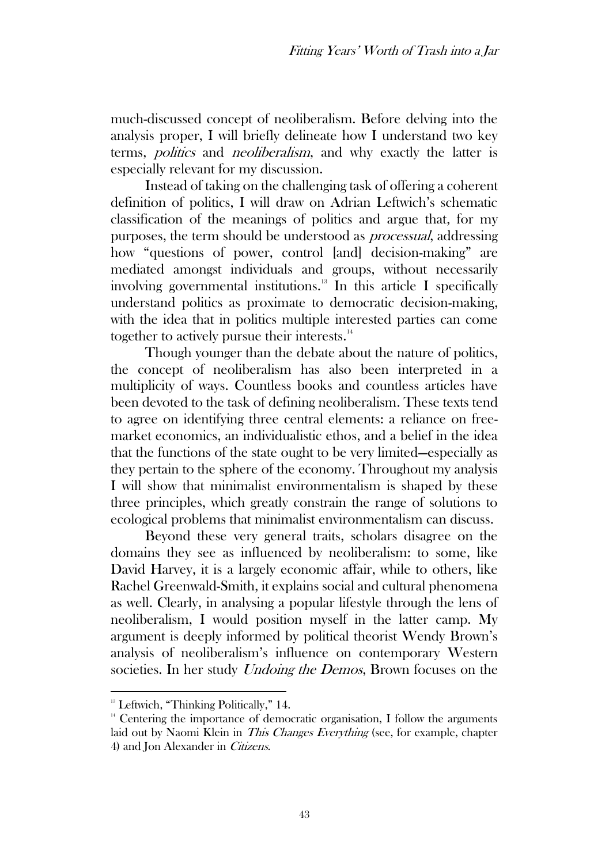much-discussed concept of neoliberalism. Before delving into the analysis proper, I will briefly delineate how I understand two key terms, *politics* and *neoliberalism*, and why exactly the latter is especially relevant for my discussion.

Instead of taking on the challenging task of offering a coherent definition of politics, I will draw on Adrian Leftwich's schematic classification of the meanings of politics and argue that, for my purposes, the term should be understood as processual, addressing how "questions of power, control [and] decision-making" are mediated amongst individuals and groups, without necessarily involving governmental institutions. <sup>13</sup> In this article I specifically understand politics as proximate to democratic decision-making, with the idea that in politics multiple interested parties can come together to actively pursue their interests.<sup>14</sup>

Though younger than the debate about the nature of politics, the concept of neoliberalism has also been interpreted in a multiplicity of ways. Countless books and countless articles have been devoted to the task of defining neoliberalism. These texts tend to agree on identifying three central elements: a reliance on freemarket economics, an individualistic ethos, and a belief in the idea that the functions of the state ought to be very limited—especially as they pertain to the sphere of the economy. Throughout my analysis I will show that minimalist environmentalism is shaped by these three principles, which greatly constrain the range of solutions to ecological problems that minimalist environmentalism can discuss.

Beyond these very general traits, scholars disagree on the domains they see as influenced by neoliberalism: to some, like David Harvey, it is a largely economic affair, while to others, like Rachel Greenwald-Smith, it explains social and cultural phenomena as well. Clearly, in analysing a popular lifestyle through the lens of neoliberalism, I would position myself in the latter camp. My argument is deeply informed by political theorist Wendy Brown's analysis of neoliberalism's influence on contemporary Western societies. In her study Undoing the Demos, Brown focuses on the

 $13$  Leftwich, "Thinking Politically," 14.

 $14$  Centering the importance of democratic organisation, I follow the arguments laid out by Naomi Klein in This Changes Everything (see, for example, chapter 4) and Jon Alexander in Citizens.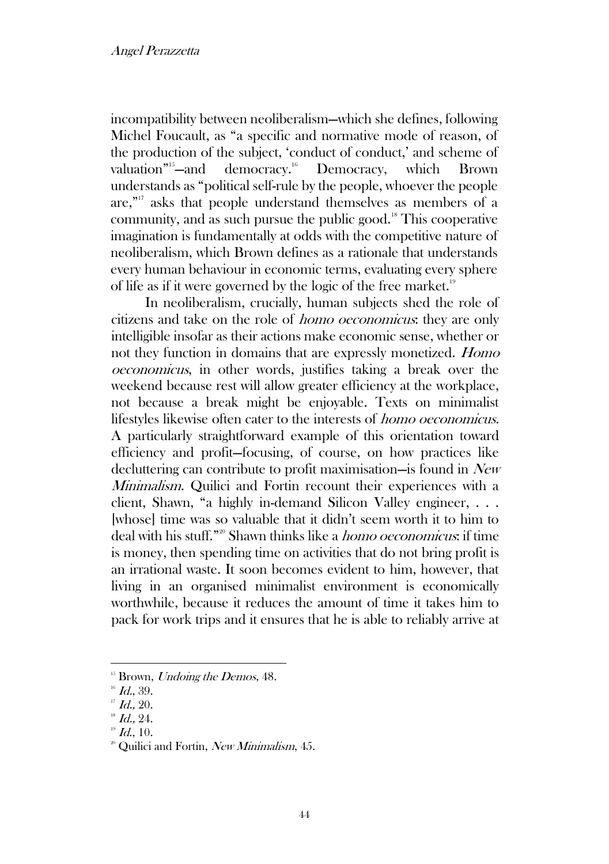incompatibility between neoliberalism—which she defines, following Michel Foucault, as "a specific and normative mode of reason, of the production of the subject, 'conduct of conduct,' and scheme of valuation"<sup>15</sup>-and democracy.<sup>16</sup> Democracy, which Brown understands as "political self-rule by the people, whoever the people are," <sup>17</sup> asks that people understand themselves as members of a community, and as such pursue the public good.<sup>18</sup> This cooperative imagination is fundamentally at odds with the competitive nature of neoliberalism, which Brown defines as a rationale that understands every human behaviour in economic terms, evaluating every sphere of life as if it were governed by the logic of the free market.<sup>19</sup>

In neoliberalism, crucially, human subjects shed the role of citizens and take on the role of homo oeconomicus: they are only intelligible insofar as their actions make economic sense, whether or not they function in domains that are expressly monetized. Homo oeconomicus, in other words, justifies taking a break over the weekend because rest will allow greater efficiency at the workplace, not because a break might be enjoyable. Texts on minimalist lifestyles likewise often cater to the interests of homo oeconomicus. A particularly straightforward example of this orientation toward efficiency and profit—focusing, of course, on how practices like decluttering can contribute to profit maximisation—is found in New *Minimalism.* Quilici and Fortin recount their experiences with a client, Shawn, "a highly in-demand Silicon Valley engineer, . . . [whose] time was so valuable that it didn't seem worth it to him to deal with his stuff."<sup>20</sup> Shawn thinks like a *homo oeconomicus*: if time is money, then spending time on activities that do not bring profit is an irrational waste. It soon becomes evident to him, however, that living in an organised minimalist environment is economically worthwhile, because it reduces the amount of time it takes him to pack for work trips and it ensures that he is able to reliably arrive at

 $15$  Brown, *Undoing the Demos*, 48.

 $16$  Id., 39.

 $17$  Id., 20.

 $18$  Id., 24.

 $19$  Id., 10.

<sup>&</sup>lt;sup>20</sup> Quilici and Fortin, New Minimalism, 45.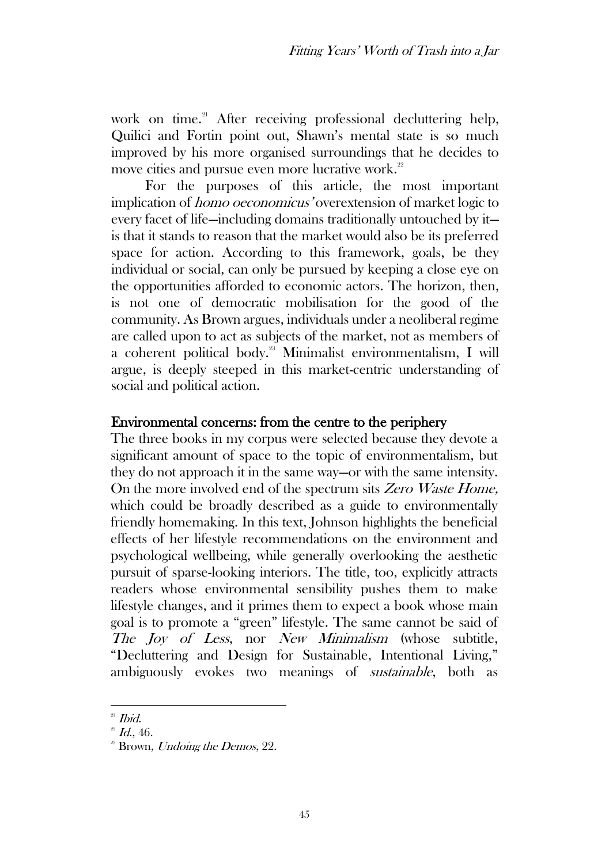work on time. <sup>21</sup> After receiving professional decluttering help, Quilici and Fortin point out, Shawn's mental state is so much improved by his more organised surroundings that he decides to move cities and pursue even more lucrative work.<sup>22</sup>

For the purposes of this article, the most important implication of homo oeconomicus' overextension of market logic to every facet of life—including domains traditionally untouched by it is that it stands to reason that the market would also be its preferred space for action. According to this framework, goals, be they individual or social, can only be pursued by keeping a close eye on the opportunities afforded to economic actors. The horizon, then, is not one of democratic mobilisation for the good of the community. As Brown argues, individuals under a neoliberal regime are called upon to act as subjects of the market, not as members of a coherent political body.<sup>23</sup> Minimalist environmentalism, I will argue, is deeply steeped in this market-centric understanding of social and political action.

## Environmental concerns: from the centre to the periphery

The three books in my corpus were selected because they devote a significant amount of space to the topic of environmentalism, but they do not approach it in the same way—or with the same intensity. On the more involved end of the spectrum sits Zero Waste Home, which could be broadly described as a guide to environmentally friendly homemaking. In this text, Johnson highlights the beneficial effects of her lifestyle recommendations on the environment and psychological wellbeing, while generally overlooking the aesthetic pursuit of sparse-looking interiors. The title, too, explicitly attracts readers whose environmental sensibility pushes them to make lifestyle changes, and it primes them to expect a book whose main goal is to promote a "green" lifestyle. The same cannot be said of The Joy of Less, nor New Minimalism (whose subtitle, "Decluttering and Design for Sustainable, Intentional Living," ambiguously evokes two meanings of sustainable, both as

 $21$  *Ibid.* 

 $^{22}$  *Id.*, 46.

 $2^2$  Brown, *Undoing the Demos*, 22.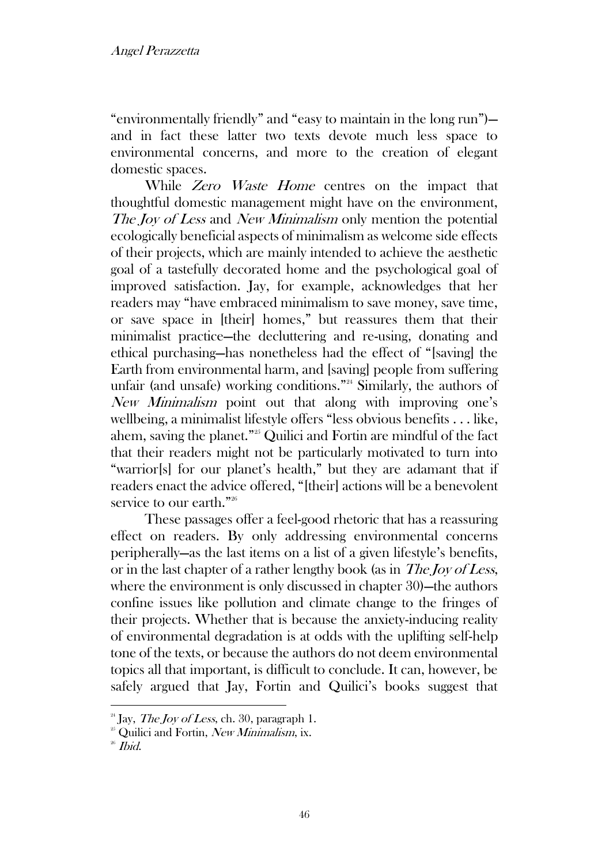"environmentally friendly" and "easy to maintain in the long run") and in fact these latter two texts devote much less space to environmental concerns, and more to the creation of elegant domestic spaces.

While Zero Waste Home centres on the impact that thoughtful domestic management might have on the environment, The Joy of Less and New Minimalism only mention the potential ecologically beneficial aspects of minimalism as welcome side effects of their projects, which are mainly intended to achieve the aesthetic goal of a tastefully decorated home and the psychological goal of improved satisfaction. Jay, for example, acknowledges that her readers may "have embraced minimalism to save money, save time, or save space in [their] homes," but reassures them that their minimalist practice—the decluttering and re-using, donating and ethical purchasing—has nonetheless had the effect of "[saving] the Earth from environmental harm, and [saving] people from suffering unfair (and unsafe) working conditions."<sup>24</sup> Similarly, the authors of New Minimalism point out that along with improving one's wellbeing, a minimalist lifestyle offers "less obvious benefits . . . like, ahem, saving the planet."<sup>25</sup> Quilici and Fortin are mindful of the fact that their readers might not be particularly motivated to turn into "warrior[s] for our planet's health," but they are adamant that if readers enact the advice offered, "[their] actions will be a benevolent service to our earth."<sup>26</sup>

These passages offer a feel-good rhetoric that has a reassuring effect on readers. By only addressing environmental concerns peripherally—as the last items on a list of a given lifestyle's benefits, or in the last chapter of a rather lengthy book (as in The Joy of Less, where the environment is only discussed in chapter 30)—the authors confine issues like pollution and climate change to the fringes of their projects. Whether that is because the anxiety-inducing reality of environmental degradation is at odds with the uplifting self-help tone of the texts, or because the authors do not deem environmental topics all that important, is difficult to conclude. It can, however, be safely argued that Jay, Fortin and Quilici's books suggest that

<sup>&</sup>lt;sup>24</sup> Jay, *The Joy of Less*, ch. 30, paragraph 1.

<sup>&</sup>lt;sup>25</sup> Quilici and Fortin, New Minimalism, ix.

 $26$  *Ibid.*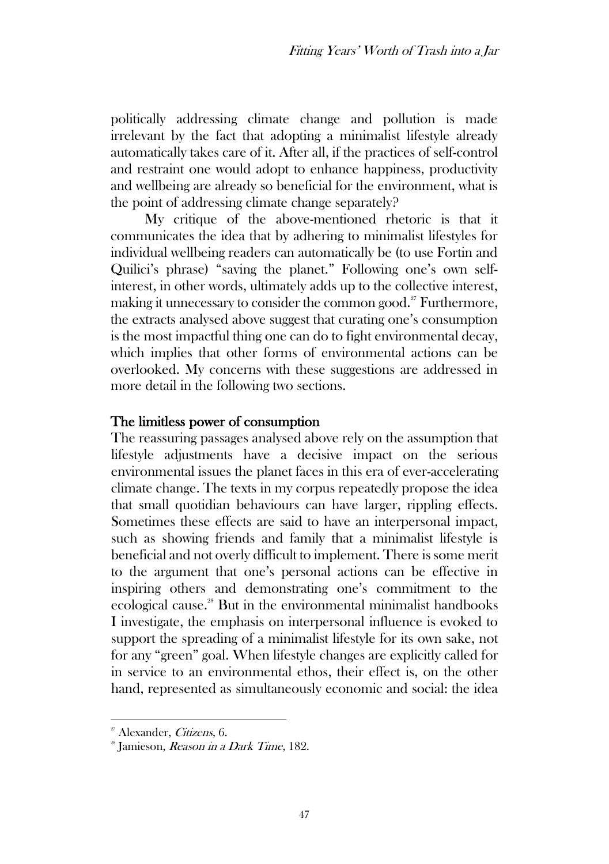politically addressing climate change and pollution is made irrelevant by the fact that adopting a minimalist lifestyle already automatically takes care of it. After all, if the practices of self-control and restraint one would adopt to enhance happiness, productivity and wellbeing are already so beneficial for the environment, what is the point of addressing climate change separately?

My critique of the above-mentioned rhetoric is that it communicates the idea that by adhering to minimalist lifestyles for individual wellbeing readers can automatically be (to use Fortin and Quilici's phrase) "saving the planet." Following one's own selfinterest, in other words, ultimately adds up to the collective interest, making it unnecessary to consider the common good.<sup>27</sup> Furthermore, the extracts analysed above suggest that curating one's consumption is the most impactful thing one can do to fight environmental decay, which implies that other forms of environmental actions can be overlooked. My concerns with these suggestions are addressed in more detail in the following two sections.

#### The limitless power of consumption

The reassuring passages analysed above rely on the assumption that lifestyle adjustments have a decisive impact on the serious environmental issues the planet faces in this era of ever-accelerating climate change. The texts in my corpus repeatedly propose the idea that small quotidian behaviours can have larger, rippling effects. Sometimes these effects are said to have an interpersonal impact, such as showing friends and family that a minimalist lifestyle is beneficial and not overly difficult to implement. There is some merit to the argument that one's personal actions can be effective in inspiring others and demonstrating one's commitment to the ecological cause.<sup>28</sup> But in the environmental minimalist handbooks I investigate, the emphasis on interpersonal influence is evoked to support the spreading of a minimalist lifestyle for its own sake, not for any "green" goal. When lifestyle changes are explicitly called for in service to an environmental ethos, their effect is, on the other hand, represented as simultaneously economic and social: the idea

<sup>&</sup>lt;sup>27</sup> Alexander, *Citizens*, 6.

<sup>&</sup>lt;sup>28</sup> Jamieson, *Reason in a Dark Time*, 182.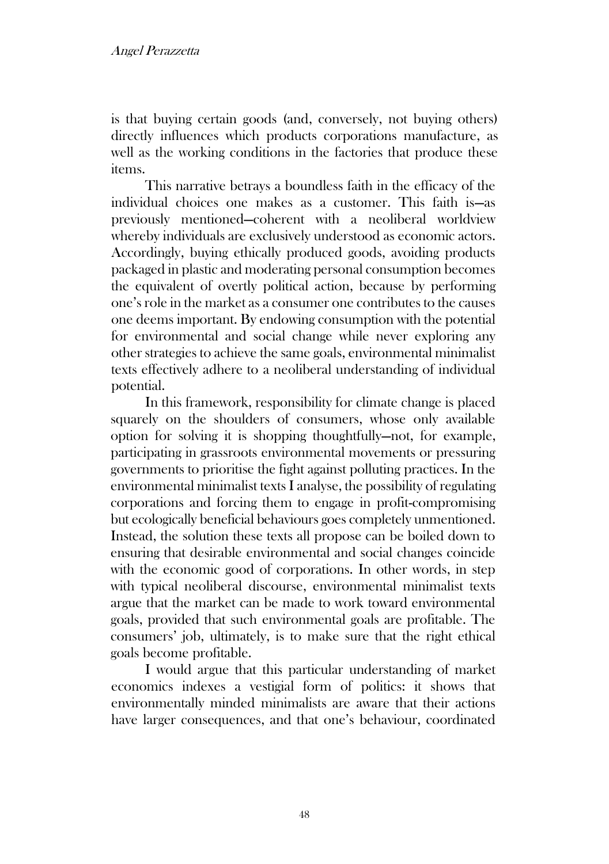is that buying certain goods (and, conversely, not buying others) directly influences which products corporations manufacture, as well as the working conditions in the factories that produce these items.

This narrative betrays a boundless faith in the efficacy of the individual choices one makes as a customer. This faith is—as previously mentioned—coherent with a neoliberal worldview whereby individuals are exclusively understood as economic actors. Accordingly, buying ethically produced goods, avoiding products packaged in plastic and moderating personal consumption becomes the equivalent of overtly political action, because by performing one's role in the market as a consumer one contributes to the causes one deems important. By endowing consumption with the potential for environmental and social change while never exploring any other strategies to achieve the same goals, environmental minimalist texts effectively adhere to a neoliberal understanding of individual potential.

In this framework, responsibility for climate change is placed squarely on the shoulders of consumers, whose only available option for solving it is shopping thoughtfully—not, for example, participating in grassroots environmental movements or pressuring governments to prioritise the fight against polluting practices. In the environmental minimalist texts I analyse, the possibility of regulating corporations and forcing them to engage in profit-compromising but ecologically beneficial behaviours goes completely unmentioned. Instead, the solution these texts all propose can be boiled down to ensuring that desirable environmental and social changes coincide with the economic good of corporations. In other words, in step with typical neoliberal discourse, environmental minimalist texts argue that the market can be made to work toward environmental goals, provided that such environmental goals are profitable. The consumers' job, ultimately, is to make sure that the right ethical goals become profitable.

I would argue that this particular understanding of market economics indexes a vestigial form of politics: it shows that environmentally minded minimalists are aware that their actions have larger consequences, and that one's behaviour, coordinated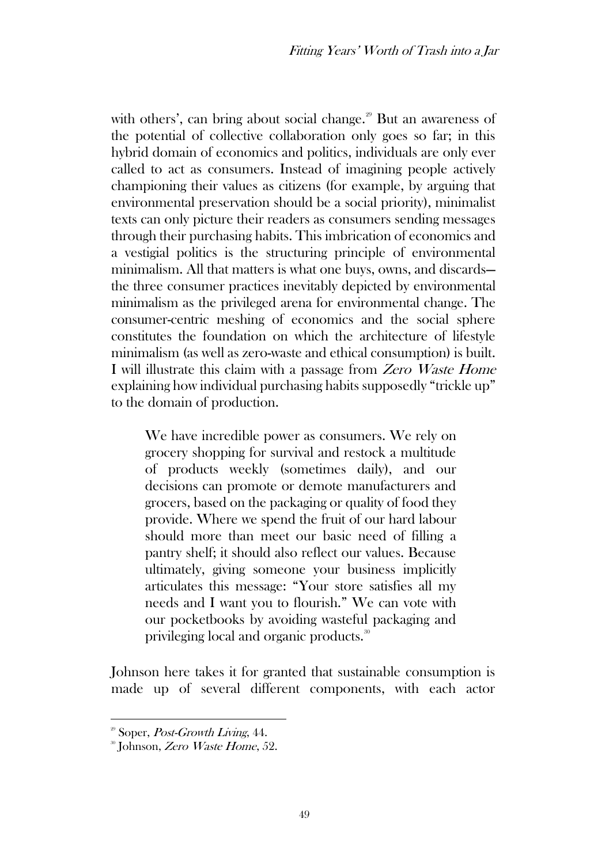with others', can bring about social change. $2^9$  But an awareness of the potential of collective collaboration only goes so far; in this hybrid domain of economics and politics, individuals are only ever called to act as consumers. Instead of imagining people actively championing their values as citizens (for example, by arguing that environmental preservation should be a social priority), minimalist texts can only picture their readers as consumers sending messages through their purchasing habits. This imbrication of economics and a vestigial politics is the structuring principle of environmental minimalism. All that matters is what one buys, owns, and discards the three consumer practices inevitably depicted by environmental minimalism as the privileged arena for environmental change. The consumer-centric meshing of economics and the social sphere constitutes the foundation on which the architecture of lifestyle minimalism (as well as zero-waste and ethical consumption) is built. I will illustrate this claim with a passage from Zero Waste Home explaining how individual purchasing habits supposedly "trickle up" to the domain of production.

We have incredible power as consumers. We rely on grocery shopping for survival and restock a multitude of products weekly (sometimes daily), and our decisions can promote or demote manufacturers and grocers, based on the packaging or quality of food they provide. Where we spend the fruit of our hard labour should more than meet our basic need of filling a pantry shelf; it should also reflect our values. Because ultimately, giving someone your business implicitly articulates this message: "Your store satisfies all my needs and I want you to flourish." We can vote with our pocketbooks by avoiding wasteful packaging and privileging local and organic products.<sup>30</sup>

Johnson here takes it for granted that sustainable consumption is made up of several different components, with each actor

 $2^{\circ}$  Soper, *Post-Growth Living*, 44.

<sup>&</sup>lt;sup>30</sup> Johnson, *Zero Waste Home*, 52.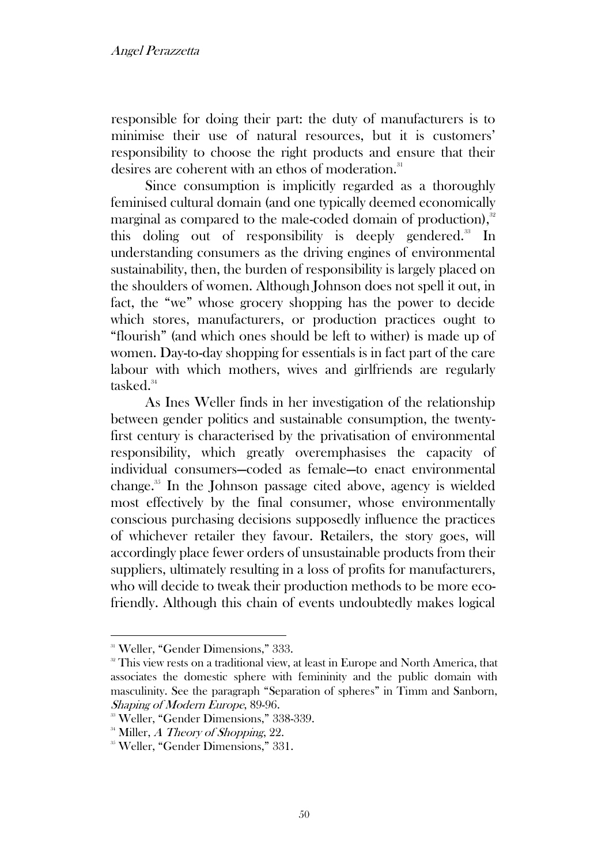responsible for doing their part: the duty of manufacturers is to minimise their use of natural resources, but it is customers' responsibility to choose the right products and ensure that their desires are coherent with an ethos of moderation.<sup>31</sup>

Since consumption is implicitly regarded as a thoroughly feminised cultural domain (and one typically deemed economically marginal as compared to the male-coded domain of production), $32$ this doling out of responsibility is deeply gendered.<sup>33</sup> In understanding consumers as the driving engines of environmental sustainability, then, the burden of responsibility is largely placed on the shoulders of women. Although Johnson does not spell it out, in fact, the "we" whose grocery shopping has the power to decide which stores, manufacturers, or production practices ought to "flourish" (and which ones should be left to wither) is made up of women. Day-to-day shopping for essentials is in fact part of the care labour with which mothers, wives and girlfriends are regularly tasked.<sup>34</sup>

As Ines Weller finds in her investigation of the relationship between gender politics and sustainable consumption, the twentyfirst century is characterised by the privatisation of environmental responsibility, which greatly overemphasises the capacity of individual consumers—coded as female—to enact environmental change.<sup>35</sup> In the Johnson passage cited above, agency is wielded most effectively by the final consumer, whose environmentally conscious purchasing decisions supposedly influence the practices of whichever retailer they favour. Retailers, the story goes, will accordingly place fewer orders of unsustainable products from their suppliers, ultimately resulting in a loss of profits for manufacturers, who will decide to tweak their production methods to be more ecofriendly. Although this chain of events undoubtedly makes logical

<sup>&</sup>lt;sup>31</sup> Weller, "Gender Dimensions," 333.

<sup>&</sup>lt;sup>32</sup> This view rests on a traditional view, at least in Europe and North America, that associates the domestic sphere with femininity and the public domain with masculinity. See the paragraph "Separation of spheres" in Timm and Sanborn, Shaping of Modern Europe, 89-96.

<sup>33</sup> Weller, "Gender Dimensions," 338-339.

 $34$  Miller, A Theory of Shopping, 22.

<sup>&</sup>lt;sup>35</sup> Weller, "Gender Dimensions," 331.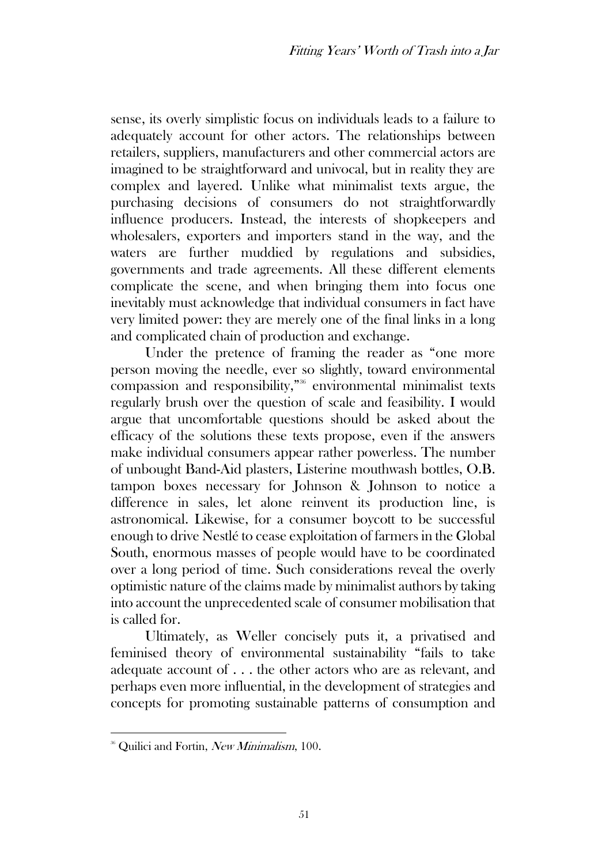sense, its overly simplistic focus on individuals leads to a failure to adequately account for other actors. The relationships between retailers, suppliers, manufacturers and other commercial actors are imagined to be straightforward and univocal, but in reality they are complex and layered. Unlike what minimalist texts argue, the purchasing decisions of consumers do not straightforwardly influence producers. Instead, the interests of shopkeepers and wholesalers, exporters and importers stand in the way, and the waters are further muddied by regulations and subsidies, governments and trade agreements. All these different elements complicate the scene, and when bringing them into focus one inevitably must acknowledge that individual consumers in fact have very limited power: they are merely one of the final links in a long and complicated chain of production and exchange.

Under the pretence of framing the reader as "one more person moving the needle, ever so slightly, toward environmental compassion and responsibility,"<sup>36</sup> environmental minimalist texts regularly brush over the question of scale and feasibility. I would argue that uncomfortable questions should be asked about the efficacy of the solutions these texts propose, even if the answers make individual consumers appear rather powerless. The number of unbought Band-Aid plasters, Listerine mouthwash bottles, O.B. tampon boxes necessary for Johnson & Johnson to notice a difference in sales, let alone reinvent its production line, is astronomical. Likewise, for a consumer boycott to be successful enough to drive Nestlé to cease exploitation of farmers in the Global South, enormous masses of people would have to be coordinated over a long period of time. Such considerations reveal the overly optimistic nature of the claims made by minimalist authors by taking into account the unprecedented scale of consumer mobilisation that is called for.

Ultimately, as Weller concisely puts it, a privatised and feminised theory of environmental sustainability "fails to take adequate account of . . . the other actors who are as relevant, and perhaps even more influential, in the development of strategies and concepts for promoting sustainable patterns of consumption and

<sup>&</sup>lt;sup>36</sup> Quilici and Fortin, New Minimalism, 100.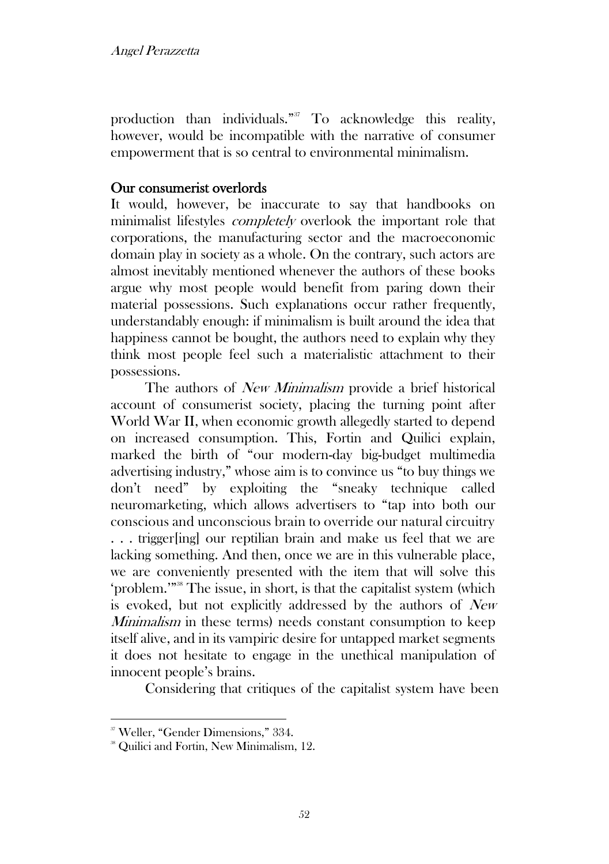production than individuals."<sup>37</sup> To acknowledge this reality, however, would be incompatible with the narrative of consumer empowerment that is so central to environmental minimalism.

#### Our consumerist overlords

It would, however, be inaccurate to say that handbooks on minimalist lifestyles *completely* overlook the important role that corporations, the manufacturing sector and the macroeconomic domain play in society as a whole. On the contrary, such actors are almost inevitably mentioned whenever the authors of these books argue why most people would benefit from paring down their material possessions. Such explanations occur rather frequently, understandably enough: if minimalism is built around the idea that happiness cannot be bought, the authors need to explain why they think most people feel such a materialistic attachment to their possessions.

The authors of *New Minimalism* provide a brief historical account of consumerist society, placing the turning point after World War II, when economic growth allegedly started to depend on increased consumption. This, Fortin and Quilici explain, marked the birth of "our modern-day big-budget multimedia advertising industry," whose aim is to convince us "to buy things we don't need" by exploiting the "sneaky technique called neuromarketing, which allows advertisers to "tap into both our conscious and unconscious brain to override our natural circuitry . . . trigger[ing] our reptilian brain and make us feel that we are lacking something. And then, once we are in this vulnerable place, we are conveniently presented with the item that will solve this 'problem.'"<sup>38</sup> The issue, in short, is that the capitalist system (which is evoked, but not explicitly addressed by the authors of New *Minimalism* in these terms) needs constant consumption to keep itself alive, and in its vampiric desire for untapped market segments it does not hesitate to engage in the unethical manipulation of innocent people's brains.

Considering that critiques of the capitalist system have been

<sup>37</sup> Weller, "Gender Dimensions," 334.

<sup>&</sup>lt;sup>38</sup> Quilici and Fortin, New Minimalism, 12.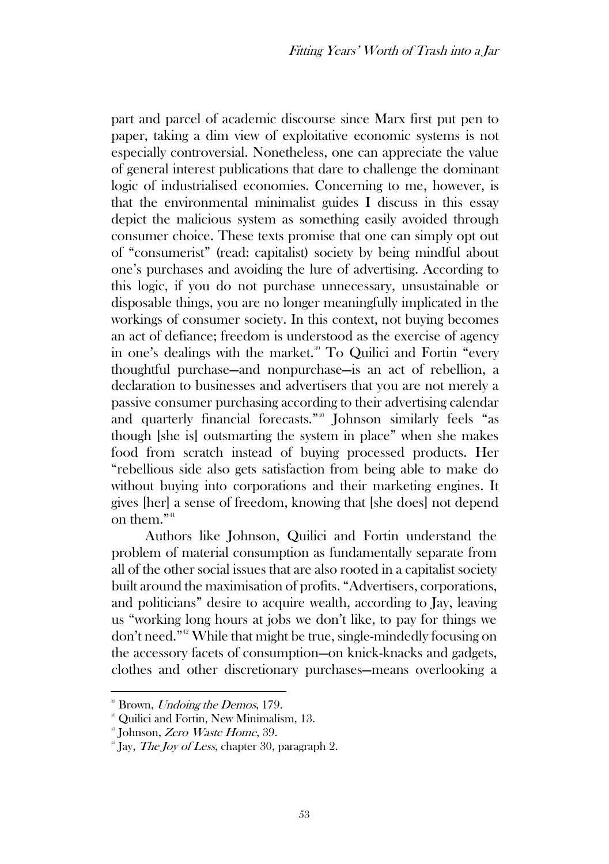part and parcel of academic discourse since Marx first put pen to paper, taking a dim view of exploitative economic systems is not especially controversial. Nonetheless, one can appreciate the value of general interest publications that dare to challenge the dominant logic of industrialised economies. Concerning to me, however, is that the environmental minimalist guides I discuss in this essay depict the malicious system as something easily avoided through consumer choice. These texts promise that one can simply opt out of "consumerist" (read: capitalist) society by being mindful about one's purchases and avoiding the lure of advertising. According to this logic, if you do not purchase unnecessary, unsustainable or disposable things, you are no longer meaningfully implicated in the workings of consumer society. In this context, not buying becomes an act of defiance; freedom is understood as the exercise of agency in one's dealings with the market.<sup>39</sup> To Quilici and Fortin "every thoughtful purchase—and nonpurchase—is an act of rebellion, a declaration to businesses and advertisers that you are not merely a passive consumer purchasing according to their advertising calendar and quarterly financial forecasts."<sup>40</sup> Johnson similarly feels "as though [she is] outsmarting the system in place" when she makes food from scratch instead of buying processed products. Her "rebellious side also gets satisfaction from being able to make do without buying into corporations and their marketing engines. It gives [her] a sense of freedom, knowing that [she does] not depend on them."<sup>41</sup>

Authors like Johnson, Quilici and Fortin understand the problem of material consumption as fundamentally separate from all of the other social issues that are also rooted in a capitalist society built around the maximisation of profits. "Advertisers, corporations, and politicians" desire to acquire wealth, according to Jay, leaving us "working long hours at jobs we don't like, to pay for things we don't need."<sup>42</sup> While that might be true, single-mindedly focusing on the accessory facets of consumption—on knick-knacks and gadgets, clothes and other discretionary purchases—means overlooking a

<sup>&</sup>lt;sup>39</sup> Brown, *Undoing the Demos*, 179.

<sup>40</sup> Quilici and Fortin, New Minimalism, 13.

<sup>&</sup>lt;sup>41</sup> Johnson, *Zero Waste Home*, 39.

<sup>&</sup>lt;sup>42</sup> Jay, *The Joy of Less*, chapter 30, paragraph 2.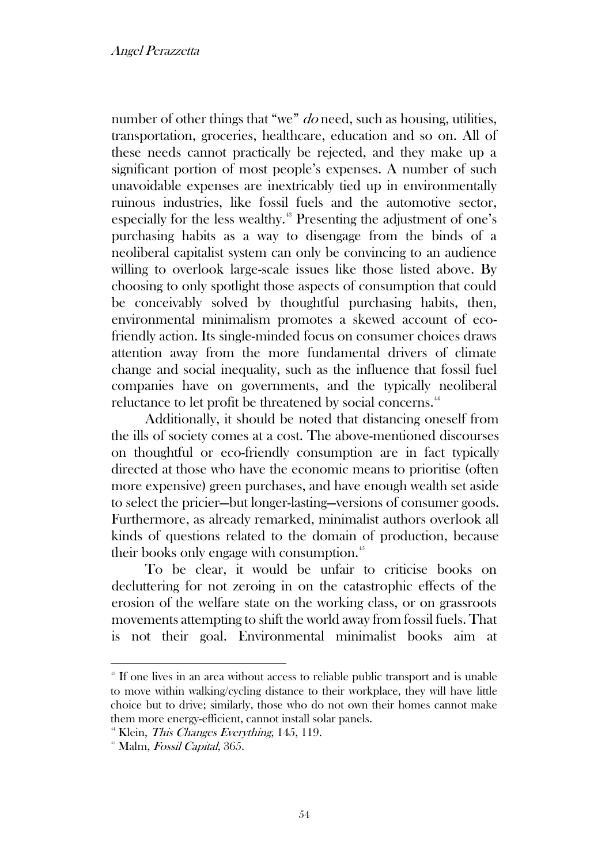#### Angel Perazzetta

number of other things that "we" *do* need, such as housing, utilities, transportation, groceries, healthcare, education and so on. All of these needs cannot practically be rejected, and they make up a significant portion of most people's expenses. A number of such unavoidable expenses are inextricably tied up in environmentally ruinous industries, like fossil fuels and the automotive sector, especially for the less wealthy.<sup>43</sup> Presenting the adjustment of one's purchasing habits as a way to disengage from the binds of a neoliberal capitalist system can only be convincing to an audience willing to overlook large-scale issues like those listed above. By choosing to only spotlight those aspects of consumption that could be conceivably solved by thoughtful purchasing habits, then, environmental minimalism promotes a skewed account of ecofriendly action. Its single-minded focus on consumer choices draws attention away from the more fundamental drivers of climate change and social inequality, such as the influence that fossil fuel companies have on governments, and the typically neoliberal reluctance to let profit be threatened by social concerns.<sup>44</sup>

Additionally, it should be noted that distancing oneself from the ills of society comes at a cost. The above-mentioned discourses on thoughtful or eco-friendly consumption are in fact typically directed at those who have the economic means to prioritise (often more expensive) green purchases, and have enough wealth set aside to select the pricier—but longer-lasting—versions of consumer goods. Furthermore, as already remarked, minimalist authors overlook all kinds of questions related to the domain of production, because their books only engage with consumption.<sup>45</sup>

To be clear, it would be unfair to criticise books on decluttering for not zeroing in on the catastrophic effects of the erosion of the welfare state on the working class, or on grassroots movements attempting to shift the world away from fossil fuels. That is not their goal. Environmental minimalist books aim at

<sup>&</sup>lt;sup>43</sup> If one lives in an area without access to reliable public transport and is unable to move within walking/cycling distance to their workplace, they will have little choice but to drive; similarly, those who do not own their homes cannot make them more energy-efficient, cannot install solar panels.

<sup>&</sup>lt;sup>44</sup> Klein, *This Changes Everything*, 145, 119.

 $45$  Malm, *Fossil Capital*, 365.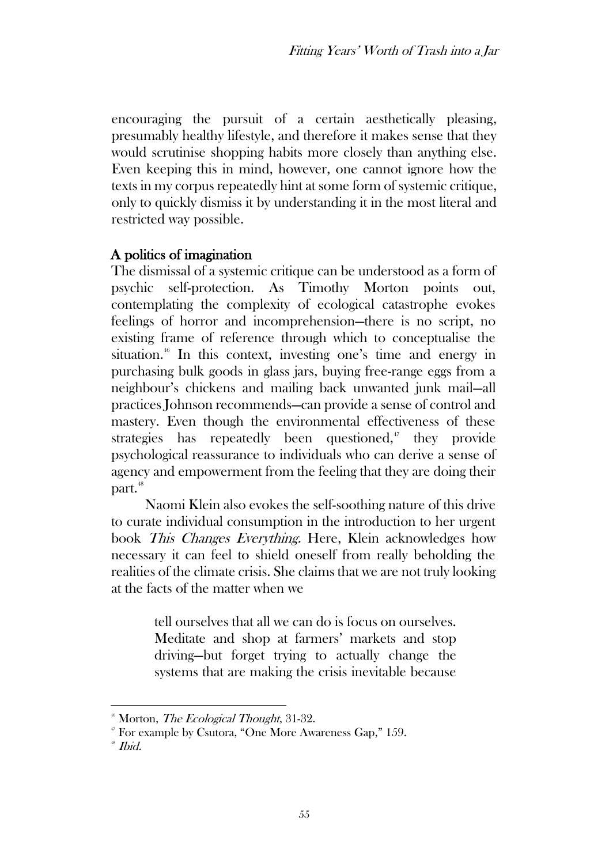encouraging the pursuit of a certain aesthetically pleasing, presumably healthy lifestyle, and therefore it makes sense that they would scrutinise shopping habits more closely than anything else. Even keeping this in mind, however, one cannot ignore how the texts in my corpus repeatedly hint at some form of systemic critique, only to quickly dismiss it by understanding it in the most literal and restricted way possible.

# A politics of imagination

The dismissal of a systemic critique can be understood as a form of psychic self-protection. As Timothy Morton points out, contemplating the complexity of ecological catastrophe evokes feelings of horror and incomprehension—there is no script, no existing frame of reference through which to conceptualise the situation.<sup>46</sup> In this context, investing one's time and energy in purchasing bulk goods in glass jars, buying free-range eggs from a neighbour's chickens and mailing back unwanted junk mail—all practices Johnson recommends—can provide a sense of control and mastery. Even though the environmental effectiveness of these strategies has repeatedly been questioned, $\mu$  they provide psychological reassurance to individuals who can derive a sense of agency and empowerment from the feeling that they are doing their part.<sup>48</sup>

Naomi Klein also evokes the self-soothing nature of this drive to curate individual consumption in the introduction to her urgent book This Changes Everything. Here, Klein acknowledges how necessary it can feel to shield oneself from really beholding the realities of the climate crisis. She claims that we are not truly looking at the facts of the matter when we

> tell ourselves that all we can do is focus on ourselves. Meditate and shop at farmers' markets and stop driving—but forget trying to actually change the systems that are making the crisis inevitable because

 $46$  Morton, *The Ecological Thought*, 31-32.

<sup>47</sup> For example by Csutora, "One More Awareness Gap," 159.

 $48$  *Ibid.*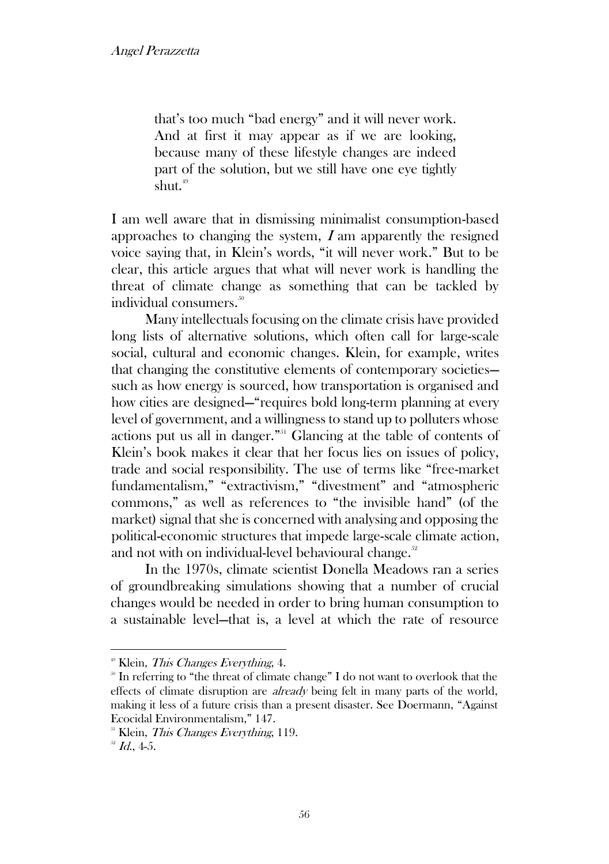that's too much "bad energy" and it will never work. And at first it may appear as if we are looking, because many of these lifestyle changes are indeed part of the solution, but we still have one eye tightly shut. $49$ 

I am well aware that in dismissing minimalist consumption-based approaches to changing the system,  $I$  am apparently the resigned voice saying that, in Klein's words, "it will never work." But to be clear, this article argues that what will never work is handling the threat of climate change as something that can be tackled by individual consumers. 50

Many intellectuals focusing on the climate crisis have provided long lists of alternative solutions, which often call for large-scale social, cultural and economic changes. Klein, for example, writes that changing the constitutive elements of contemporary societies such as how energy is sourced, how transportation is organised and how cities are designed—"requires bold long-term planning at every level of government, and a willingness to stand up to polluters whose actions put us all in danger."<sup>51</sup> Glancing at the table of contents of Klein's book makes it clear that her focus lies on issues of policy, trade and social responsibility. The use of terms like "free-market fundamentalism," "extractivism," "divestment" and "atmospheric commons," as well as references to "the invisible hand" (of the market) signal that she is concerned with analysing and opposing the political-economic structures that impede large-scale climate action, and not with on individual-level behavioural change.<sup>52</sup>

In the 1970s, climate scientist Donella Meadows ran a series of groundbreaking simulations showing that a number of crucial changes would be needed in order to bring human consumption to a sustainable level—that is, a level at which the rate of resource

 $4^{\circ}$  Klein, *This Changes Everything*, 4.

 $\delta$  In referring to "the threat of climate change" I do not want to overlook that the effects of climate disruption are *already* being felt in many parts of the world, making it less of a future crisis than a present disaster. See Doermann, "Against Ecocidal Environmentalism," 147.

 $<sup>51</sup>$  Klein, *This Changes Everything*, 119.</sup>

 $^{52}$  *Id.*, 4-5.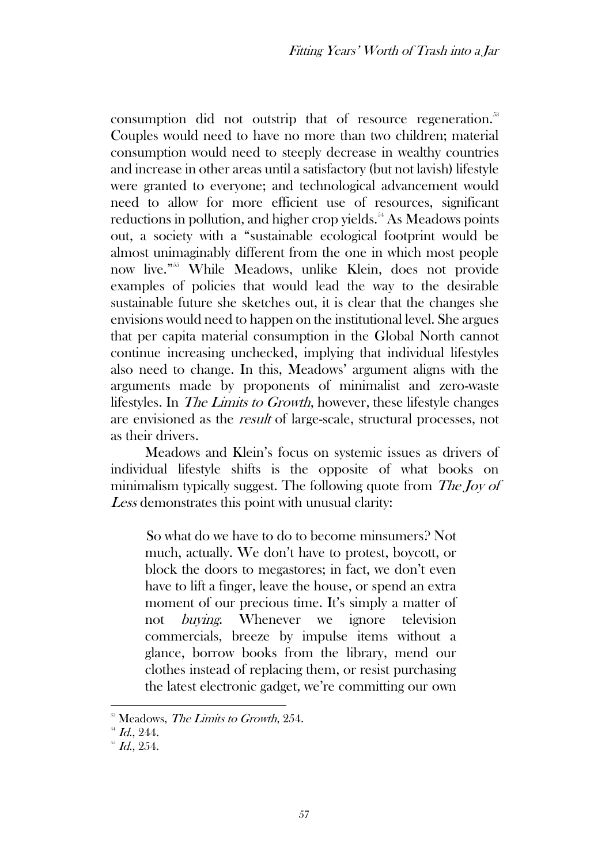consumption did not outstrip that of resource regeneration.<sup>53</sup> Couples would need to have no more than two children; material consumption would need to steeply decrease in wealthy countries and increase in other areas until a satisfactory (but not lavish) lifestyle were granted to everyone; and technological advancement would need to allow for more efficient use of resources, significant reductions in pollution, and higher crop yields.<sup>54</sup> As Meadows points out, a society with a "sustainable ecological footprint would be almost unimaginably different from the one in which most people now live."<sup>55</sup> While Meadows, unlike Klein, does not provide examples of policies that would lead the way to the desirable sustainable future she sketches out, it is clear that the changes she envisions would need to happen on the institutional level. She argues that per capita material consumption in the Global North cannot continue increasing unchecked, implying that individual lifestyles also need to change. In this, Meadows' argument aligns with the arguments made by proponents of minimalist and zero-waste lifestyles. In The Limits to Growth, however, these lifestyle changes are envisioned as the result of large-scale, structural processes, not as their drivers.

Meadows and Klein's focus on systemic issues as drivers of individual lifestyle shifts is the opposite of what books on minimalism typically suggest. The following quote from The Joy of Less demonstrates this point with unusual clarity:

So what do we have to do to become minsumers? Not much, actually. We don't have to protest, boycott, or block the doors to megastores; in fact, we don't even have to lift a finger, leave the house, or spend an extra moment of our precious time. It's simply a matter of not buying. Whenever we ignore television commercials, breeze by impulse items without a glance, borrow books from the library, mend our clothes instead of replacing them, or resist purchasing the latest electronic gadget, we're committing our own

 $58$  Meadows, The Limits to Growth, 254.

 $^{54}$  *Id.*, 244.

 $^{55}$  Id., 254.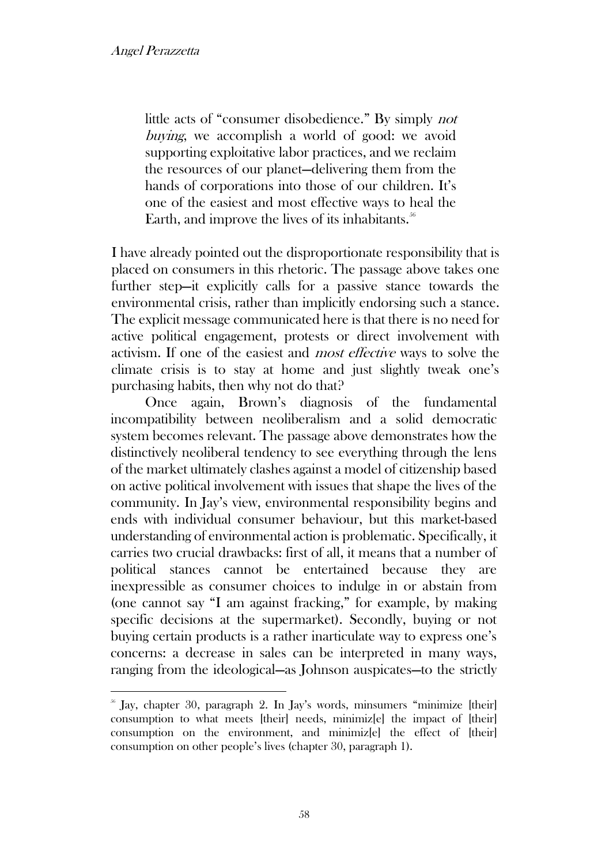little acts of "consumer disobedience." By simply not buying, we accomplish a world of good: we avoid supporting exploitative labor practices, and we reclaim the resources of our planet—delivering them from the hands of corporations into those of our children. It's one of the easiest and most effective ways to heal the Earth, and improve the lives of its inhabitants. $56$ 

I have already pointed out the disproportionate responsibility that is placed on consumers in this rhetoric. The passage above takes one further step—it explicitly calls for a passive stance towards the environmental crisis, rather than implicitly endorsing such a stance. The explicit message communicated here is that there is no need for active political engagement, protests or direct involvement with activism. If one of the easiest and most effective ways to solve the climate crisis is to stay at home and just slightly tweak one's purchasing habits, then why not do that?

Once again, Brown's diagnosis of the fundamental incompatibility between neoliberalism and a solid democratic system becomes relevant. The passage above demonstrates how the distinctively neoliberal tendency to see everything through the lens of the market ultimately clashes against a model of citizenship based on active political involvement with issues that shape the lives of the community. In Jay's view, environmental responsibility begins and ends with individual consumer behaviour, but this market-based understanding of environmental action is problematic. Specifically, it carries two crucial drawbacks: first of all, it means that a number of political stances cannot be entertained because they are inexpressible as consumer choices to indulge in or abstain from (one cannot say "I am against fracking," for example, by making specific decisions at the supermarket). Secondly, buying or not buying certain products is a rather inarticulate way to express one's concerns: a decrease in sales can be interpreted in many ways, ranging from the ideological—as Johnson auspicates—to the strictly

 $\frac{1}{6}$  Jay, chapter 30, paragraph 2. In Jay's words, minsumers "minimize [their] consumption to what meets [their] needs, minimiz[e] the impact of [their] consumption on the environment, and minimiz[e] the effect of [their] consumption on other people's lives (chapter 30, paragraph 1).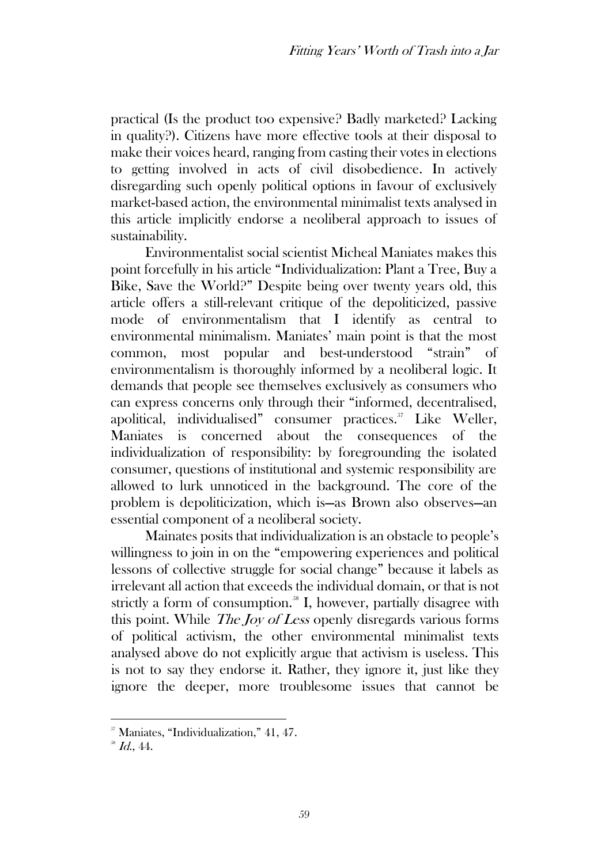practical (Is the product too expensive? Badly marketed? Lacking in quality?). Citizens have more effective tools at their disposal to make their voices heard, ranging from casting their votes in elections to getting involved in acts of civil disobedience. In actively disregarding such openly political options in favour of exclusively market-based action, the environmental minimalist texts analysed in this article implicitly endorse a neoliberal approach to issues of sustainability.

Environmentalist social scientist Micheal Maniates makes this point forcefully in his article "Individualization: Plant a Tree, Buy a Bike, Save the World?" Despite being over twenty years old, this article offers a still-relevant critique of the depoliticized, passive mode of environmentalism that I identify as central to environmental minimalism. Maniates' main point is that the most common, most popular and best-understood "strain" of environmentalism is thoroughly informed by a neoliberal logic. It demands that people see themselves exclusively as consumers who can express concerns only through their "informed, decentralised, apolitical, individualised" consumer practices.<sup>57</sup> Like Weller, Maniates is concerned about the consequences of the individualization of responsibility: by foregrounding the isolated consumer, questions of institutional and systemic responsibility are allowed to lurk unnoticed in the background. The core of the problem is depoliticization, which is—as Brown also observes—an essential component of a neoliberal society.

Mainates posits that individualization is an obstacle to people's willingness to join in on the "empowering experiences and political lessons of collective struggle for social change" because it labels as irrelevant all action that exceeds the individual domain, or that is not strictly a form of consumption. $^{58}$  I, however, partially disagree with this point. While The Joy of Less openly disregards various forms of political activism, the other environmental minimalist texts analysed above do not explicitly argue that activism is useless. This is not to say they endorse it. Rather, they ignore it, just like they ignore the deeper, more troublesome issues that cannot be

<sup>57</sup> Maniates, "Individualization," 41, 47.

 $^{58}$  *Id.*, 44.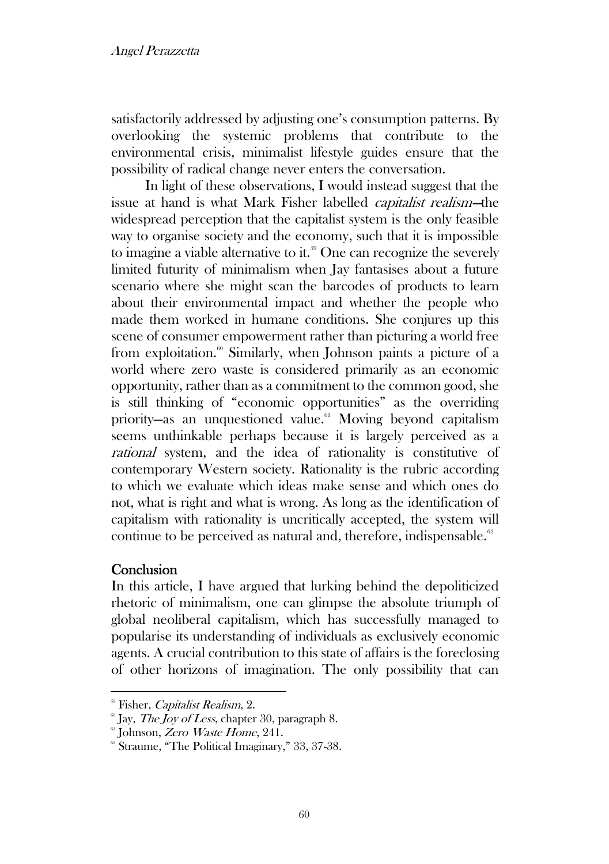satisfactorily addressed by adjusting one's consumption patterns. By overlooking the systemic problems that contribute to the environmental crisis, minimalist lifestyle guides ensure that the possibility of radical change never enters the conversation.

In light of these observations, I would instead suggest that the issue at hand is what Mark Fisher labelled capitalist realism—the widespread perception that the capitalist system is the only feasible way to organise society and the economy, such that it is impossible to imagine a viable alternative to it.<sup>59</sup> One can recognize the severely limited futurity of minimalism when Jay fantasises about a future scenario where she might scan the barcodes of products to learn about their environmental impact and whether the people who made them worked in humane conditions. She conjures up this scene of consumer empowerment rather than picturing a world free from exploitation.<sup>60</sup> Similarly, when Johnson paints a picture of a world where zero waste is considered primarily as an economic opportunity, rather than as a commitment to the common good, she is still thinking of "economic opportunities" as the overriding priority—as an unquestioned value.<sup>61</sup> Moving beyond capitalism seems unthinkable perhaps because it is largely perceived as a rational system, and the idea of rationality is constitutive of contemporary Western society. Rationality is the rubric according to which we evaluate which ideas make sense and which ones do not, what is right and what is wrong. As long as the identification of capitalism with rationality is uncritically accepted, the system will continue to be perceived as natural and, therefore, indispensable. $62$ 

## **Conclusion**

In this article, I have argued that lurking behind the depoliticized rhetoric of minimalism, one can glimpse the absolute triumph of global neoliberal capitalism, which has successfully managed to popularise its understanding of individuals as exclusively economic agents. A crucial contribution to this state of affairs is the foreclosing of other horizons of imagination. The only possibility that can

<sup>&</sup>lt;sup>59</sup> Fisher, *Capitalist Realism*, 2.

 $\degree$  Jay, *The Joy of Less*, chapter 30, paragraph 8.

 $61$  Johnson, Zero Waste Home, 241.

<sup>&</sup>lt;sup>62</sup> Straume, "The Political Imaginary," 33, 37-38.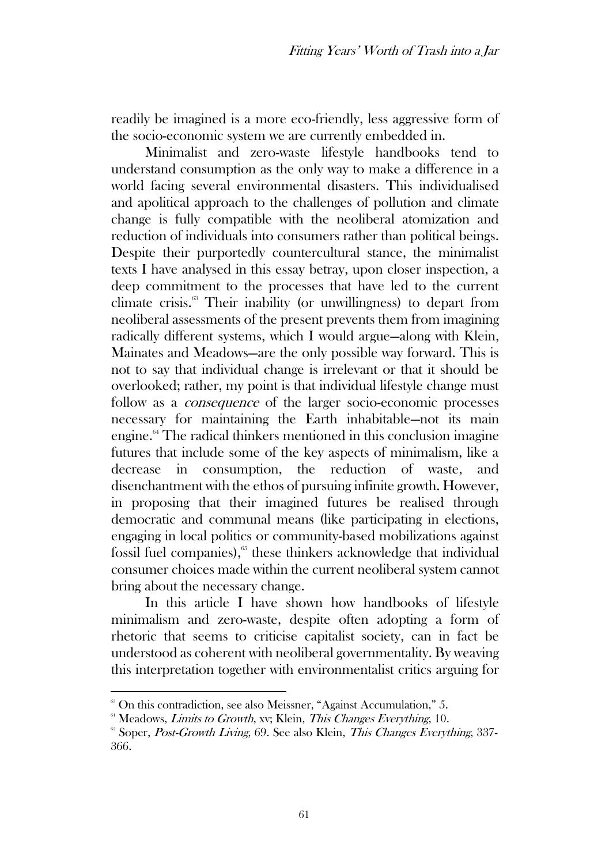readily be imagined is a more eco-friendly, less aggressive form of the socio-economic system we are currently embedded in.

Minimalist and zero-waste lifestyle handbooks tend to understand consumption as the only way to make a difference in a world facing several environmental disasters. This individualised and apolitical approach to the challenges of pollution and climate change is fully compatible with the neoliberal atomization and reduction of individuals into consumers rather than political beings. Despite their purportedly countercultural stance, the minimalist texts I have analysed in this essay betray, upon closer inspection, a deep commitment to the processes that have led to the current climate crisis.<sup>63</sup> Their inability (or unwillingness) to depart from neoliberal assessments of the present prevents them from imagining radically different systems, which I would argue—along with Klein, Mainates and Meadows—are the only possible way forward. This is not to say that individual change is irrelevant or that it should be overlooked; rather, my point is that individual lifestyle change must follow as a *consequence* of the larger socio-economic processes necessary for maintaining the Earth inhabitable—not its main engine. $64$  The radical thinkers mentioned in this conclusion imagine futures that include some of the key aspects of minimalism, like a decrease in consumption, the reduction of waste, and disenchantment with the ethos of pursuing infinite growth. However, in proposing that their imagined futures be realised through democratic and communal means (like participating in elections, engaging in local politics or community-based mobilizations against fossil fuel companies), $65$  these thinkers acknowledge that individual consumer choices made within the current neoliberal system cannot bring about the necessary change.

In this article I have shown how handbooks of lifestyle minimalism and zero-waste, despite often adopting a form of rhetoric that seems to criticise capitalist society, can in fact be understood as coherent with neoliberal governmentality. By weaving this interpretation together with environmentalist critics arguing for

 $\degree$  On this contradiction, see also Meissner, "Against Accumulation," 5.

 $64$  Meadows, *Limits to Growth*, xv; Klein, *This Changes Everything*, 10.

 $65$  Soper, *Post-Growth Living*, 69. See also Klein, *This Changes Everything*, 337-366.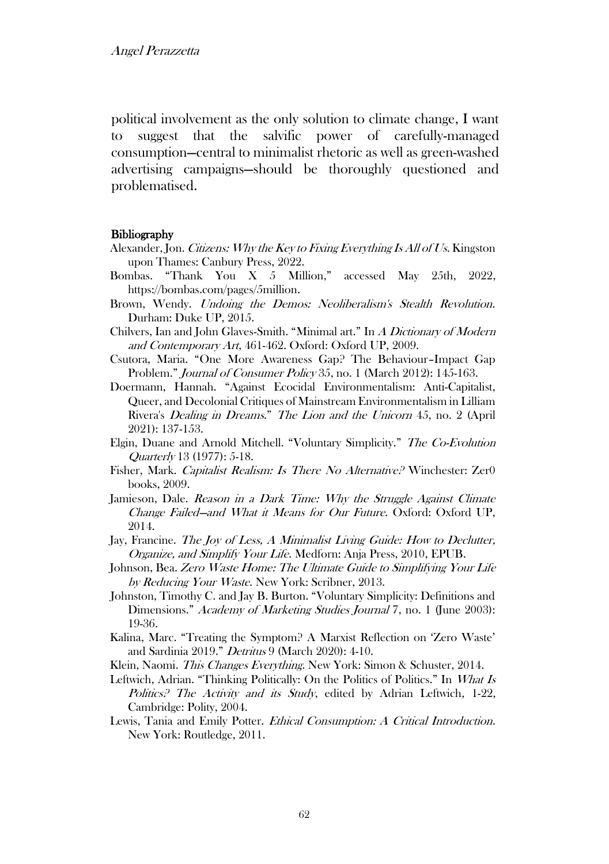political involvement as the only solution to climate change, I want to suggest that the salvific power of carefully-managed consumption—central to minimalist rhetoric as well as green-washed advertising campaigns—should be thoroughly questioned and problematised.

#### **Bibliography**

- Alexander, Jon. Citizens: Why the Key to Fixing Everything Is All of Us. Kingston upon Thames: Canbury Press, 2022.
- Bombas. "Thank You X 5 Million," accessed May 25th, 2022, https://bombas.com/pages/5million.
- Brown, Wendy. Undoing the Demos: Neoliberalism's Stealth Revolution. Durham: Duke UP, 2015.
- Chilvers, Ian and John Glaves-Smith. "Minimal art." In A Dictionary of Modern and Contemporary Art, 461-462. Oxford: Oxford UP, 2009.
- Csutora, Maria. "One More Awareness Gap? The Behaviour–Impact Gap Problem." Journal of Consumer Policy 35, no. 1 (March 2012): 145-163.
- Doermann, Hannah. "Against Ecocidal Environmentalism: Anti-Capitalist, Queer, and Decolonial Critiques of Mainstream Environmentalism in Lilliam Rivera's Dealing in Dreams." The Lion and the Unicorn 45, no. 2 (April 2021): 137-153.
- Elgin, Duane and Arnold Mitchell. "Voluntary Simplicity." The Co-Evolution Quarterly 13 (1977): 5-18.
- Fisher, Mark. Capitalist Realism: Is There No Alternative? Winchester: Zer0 books, 2009.
- Jamieson, Dale. Reason in a Dark Time: Why the Struggle Against Climate Change Failed—and What it Means for Our Future. Oxford: Oxford UP, 2014.
- Jay, Francine. The Joy of Less, A Minimalist Living Guide: How to Declutter, Organize, and Simplify Your Life. Medforn: Anja Press, 2010, EPUB.
- Johnson, Bea. Zero Waste Home: The Ultimate Guide to Simplifying Your Life by Reducing Your Waste. New York: Scribner, 2013.
- Johnston, Timothy C. and Jay B. Burton. "Voluntary Simplicity: Definitions and Dimensions." Academy of Marketing Studies Journal 7, no. 1 (June 2003): 19-36.
- Kalina, Marc. "Treating the Symptom? A Marxist Reflection on 'Zero Waste' and Sardinia 2019." Detritus 9 (March 2020): 4-10.
- Klein, Naomi. This Changes Everything. New York: Simon & Schuster, 2014.
- Leftwich, Adrian. "Thinking Politically: On the Politics of Politics." In What Is Politics? The Activity and its Study, edited by Adrian Leftwich, 1-22, Cambridge: Polity, 2004.
- Lewis, Tania and Emily Potter. Ethical Consumption: A Critical Introduction. New York: Routledge, 2011.